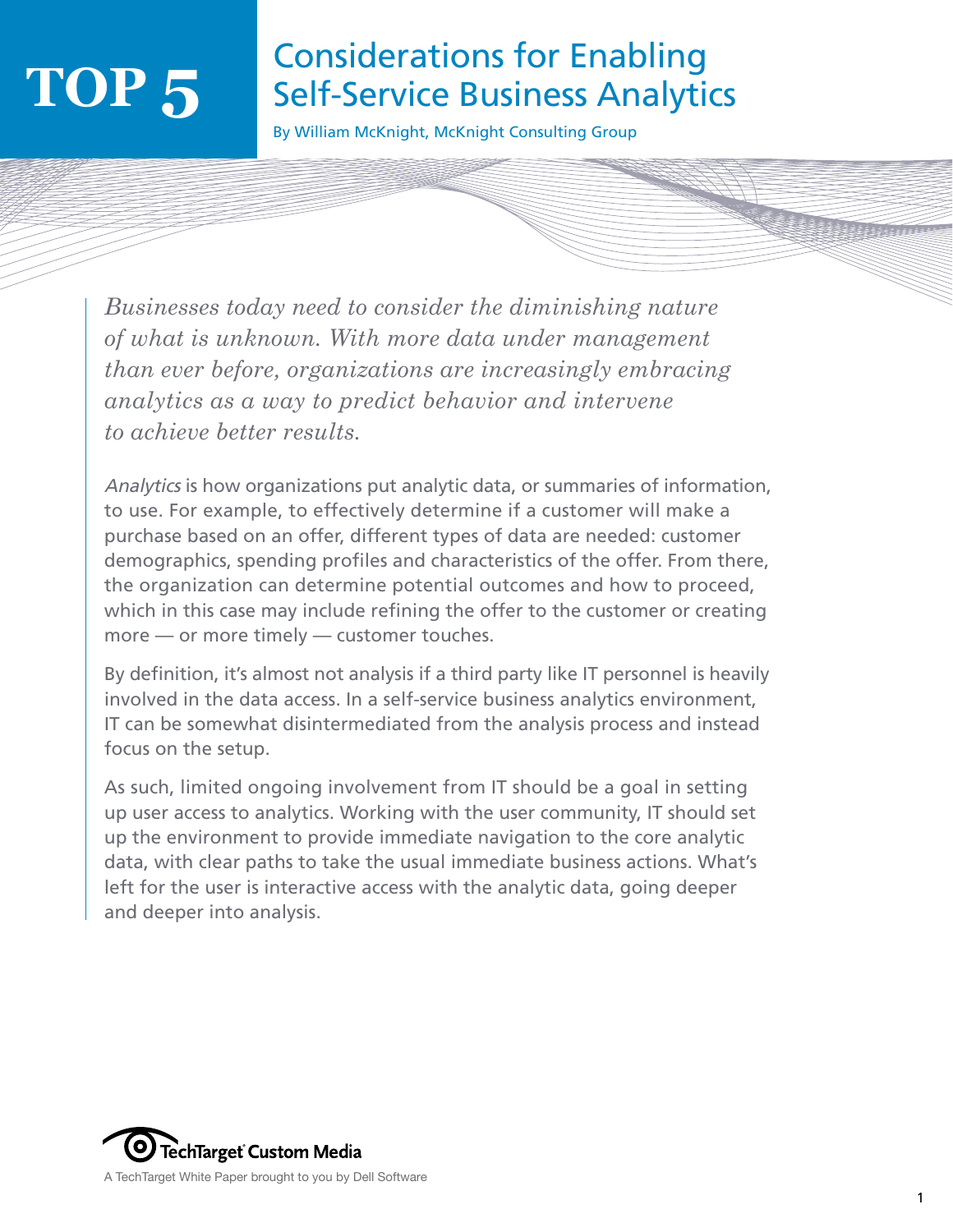### Considerations for Enabling Self-Service Business Analytics

By William McKnight, McKnight Consulting Group

*Businesses today need to consider the diminishing nature of what is unknown. With more data under management than ever before, organizations are increasingly embracing analytics as a way to predict behavior and intervene to achieve better results.*

Analytics is how organizations put analytic data, or summaries of information, to use. For example, to effectively determine if a customer will make a purchase based on an offer, different types of data are needed: customer demographics, spending profiles and characteristics of the offer. From there, the organization can determine potential outcomes and how to proceed, which in this case may include refining the offer to the customer or creating more — or more timely — customer touches.

By definition, it's almost not analysis if a third party like IT personnel is heavily involved in the data access. In a self-service business analytics environment, IT can be somewhat disintermediated from the analysis process and instead focus on the setup.

As such, limited ongoing involvement from IT should be a goal in setting up user access to analytics. Working with the user community, IT should set up the environment to provide immediate navigation to the core analytic data, with clear paths to take the usual immediate business actions. What's left for the user is interactive access with the analytic data, going deeper and deeper into analysis.

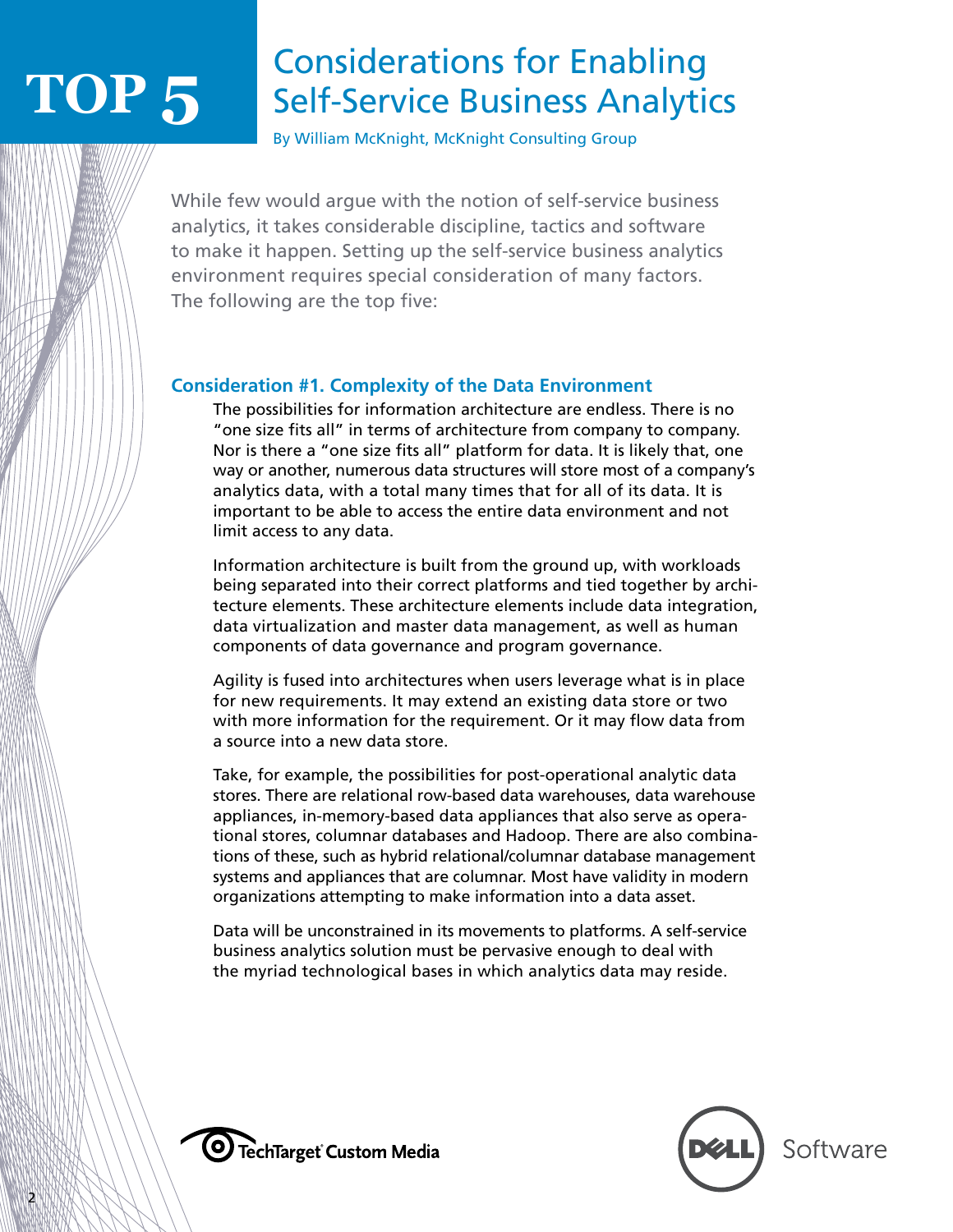## Considerations for Enabling Self-Service Business Analytics

By William McKnight, McKnight Consulting Group

While few would argue with the notion of self-service business analytics, it takes considerable discipline, tactics and software to make it happen. Setting up the self-service business analytics environment requires special consideration of many factors. The following are the top five:

#### **Consideration #1. Complexity of the Data Environment**

 The possibilities for information architecture are endless. There is no "one size fits all" in terms of architecture from company to company. Nor is there a "one size fits all" platform for data. It is likely that, one way or another, numerous data structures will store most of a company's analytics data, with a total many times that for all of its data. It is important to be able to access the entire data environment and not limit access to any data.

 Information architecture is built from the ground up, with workloads being separated into their correct platforms and tied together by architecture elements. These architecture elements include data integration, data virtualization and master data management, as well as human components of data governance and program governance.

 Agility is fused into architectures when users leverage what is in place for new requirements. It may extend an existing data store or two with more information for the requirement. Or it may flow data from a source into a new data store.

 Take, for example, the possibilities for post-operational analytic data stores. There are relational row-based data warehouses, data warehouse appliances, in-memory-based data appliances that also serve as operational stores, columnar databases and Hadoop. There are also combinations of these, such as hybrid relational/columnar database management systems and appliances that are columnar. Most have validity in modern organizations attempting to make information into a data asset.

 Data will be unconstrained in its movements to platforms. A self-service business analytics solution must be pervasive enough to deal with the myriad technological bases in which analytics data may reside.



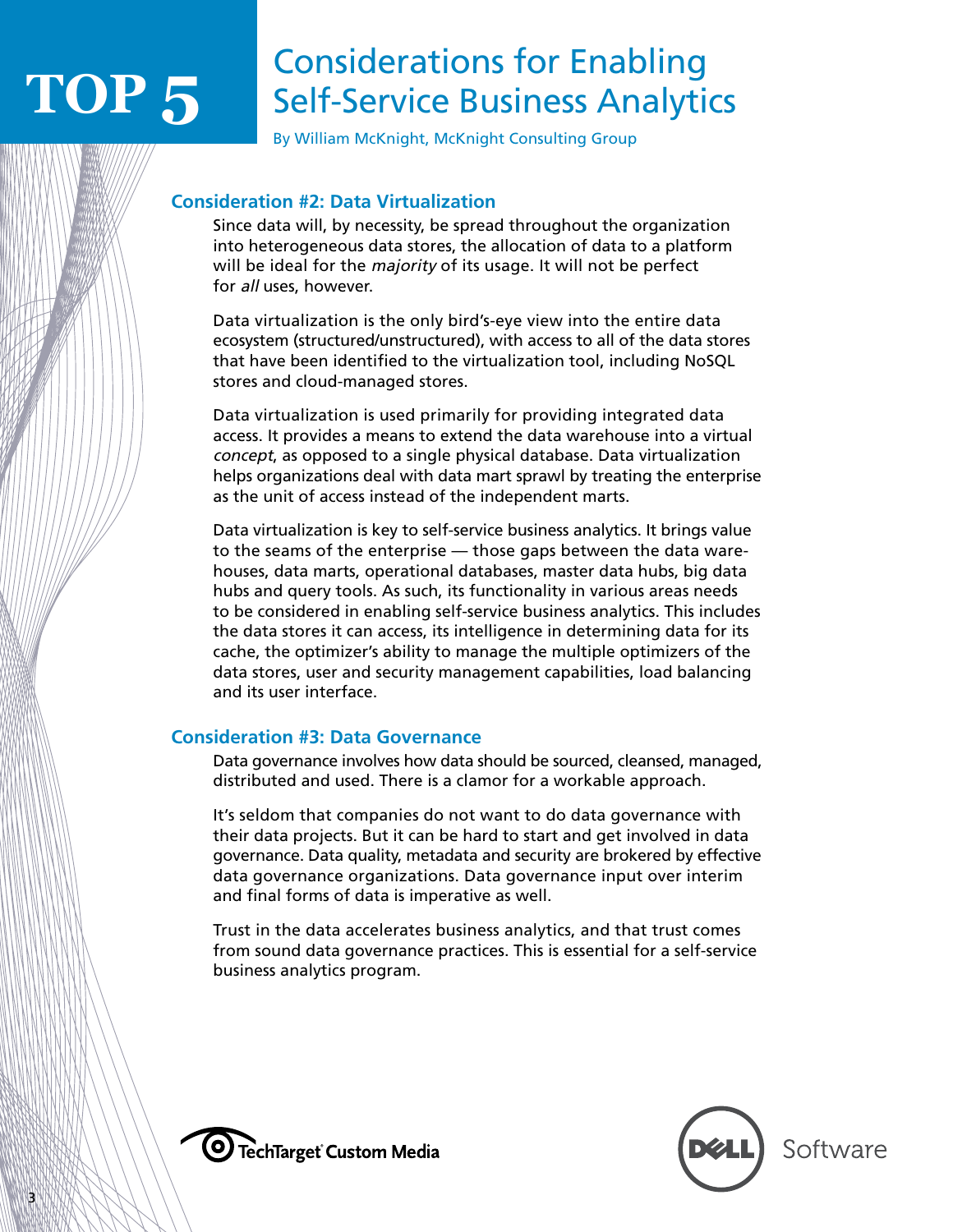## Considerations for Enabling Self-Service Business Analytics

By William McKnight, McKnight Consulting Group

#### **Consideration #2: Data Virtualization**

 Since data will, by necessity, be spread throughout the organization into heterogeneous data stores, the allocation of data to a platform will be ideal for the *majority* of its usage. It will not be perfect for all uses, however.

 Data virtualization is the only bird's-eye view into the entire data ecosystem (structured/unstructured), with access to all of the data stores that have been identified to the virtualization tool, including NoSQL stores and cloud-managed stores.

 Data virtualization is used primarily for providing integrated data access. It provides a means to extend the data warehouse into a virtual concept, as opposed to a single physical database. Data virtualization helps organizations deal with data mart sprawl by treating the enterprise as the unit of access instead of the independent marts.

 Data virtualization is key to self-service business analytics. It brings value to the seams of the enterprise — those gaps between the data warehouses, data marts, operational databases, master data hubs, big data hubs and query tools. As such, its functionality in various areas needs to be considered in enabling self-service business analytics. This includes the data stores it can access, its intelligence in determining data for its cache, the optimizer's ability to manage the multiple optimizers of the data stores, user and security management capabilities, load balancing and its user interface.

#### **Consideration #3: Data Governance**

 Data governance involves how data should be sourced, cleansed, managed, distributed and used. There is a clamor for a workable approach.

 It's seldom that companies do not want to do data governance with their data projects. But it can be hard to start and get involved in data governance. Data quality, metadata and security are brokered by effective data governance organizations. Data governance input over interim and final forms of data is imperative as well.

 Trust in the data accelerates business analytics, and that trust comes from sound data governance practices. This is essential for a self-service business analytics program.



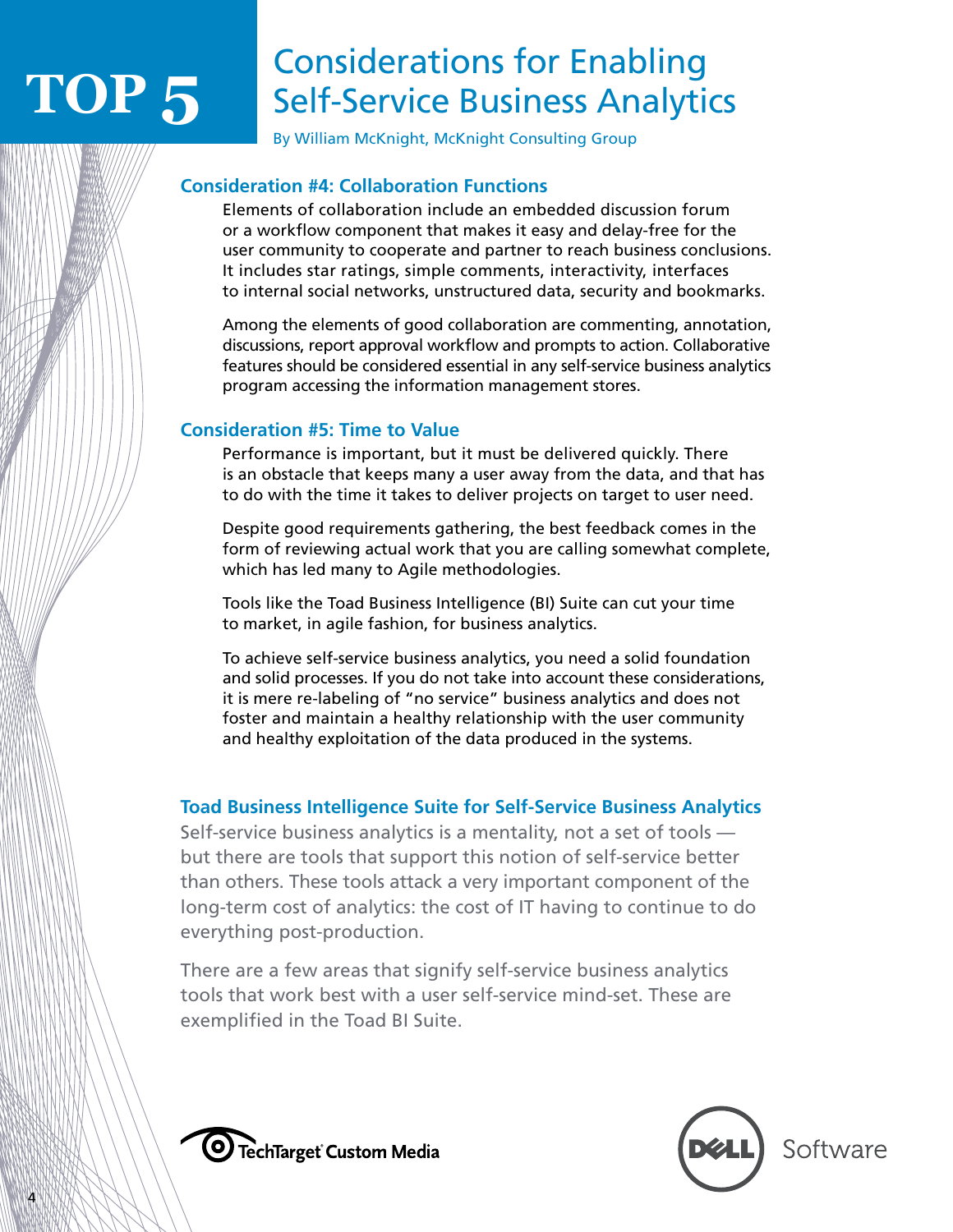## Considerations for Enabling Self-Service Business Analytics

By William McKnight, McKnight Consulting Group

#### **Consideration #4: Collaboration Functions**

 Elements of collaboration include an embedded discussion forum or a workflow component that makes it easy and delay-free for the user community to cooperate and partner to reach business conclusions. It includes star ratings, simple comments, interactivity, interfaces to internal social networks, unstructured data, security and bookmarks.

 Among the elements of good collaboration are commenting, annotation, discussions, report approval workflow and prompts to action. Collaborative features should be considered essential in any self-service business analytics program accessing the information management stores.

#### **Consideration #5: Time to Value**

 Performance is important, but it must be delivered quickly. There is an obstacle that keeps many a user away from the data, and that has to do with the time it takes to deliver projects on target to user need.

 Despite good requirements gathering, the best feedback comes in the form of reviewing actual work that you are calling somewhat complete, which has led many to Agile methodologies.

 Tools like the Toad Business Intelligence (BI) Suite can cut your time to market, in agile fashion, for business analytics.

 To achieve self-service business analytics, you need a solid foundation and solid processes. If you do not take into account these considerations, it is mere re-labeling of "no service" business analytics and does not foster and maintain a healthy relationship with the user community and healthy exploitation of the data produced in the systems.

#### **Toad Business Intelligence Suite for Self-Service Business Analytics**

Self-service business analytics is a mentality, not a set of tools but there are tools that support this notion of self-service better than others. These tools attack a very important component of the long-term cost of analytics: the cost of IT having to continue to do everything post-production.

There are a few areas that signify self-service business analytics tools that work best with a user self-service mind-set. These are exemplified in the Toad BI Suite.